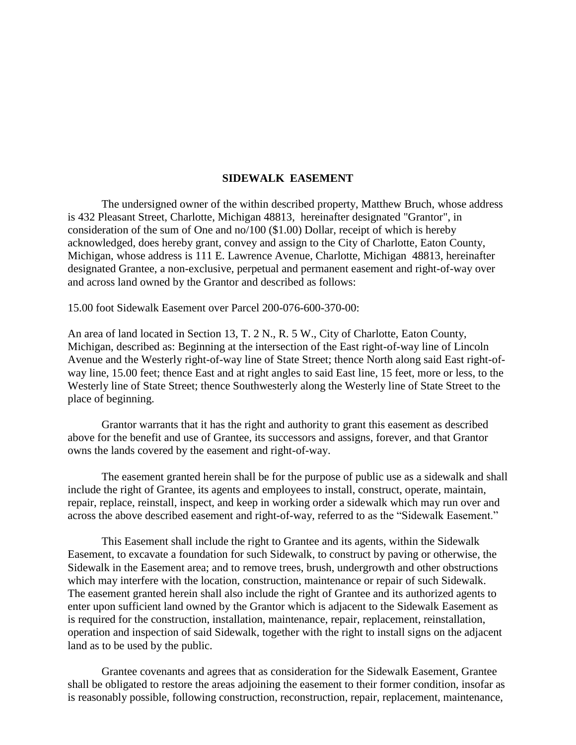## **SIDEWALK EASEMENT**

The undersigned owner of the within described property, Matthew Bruch, whose address is 432 Pleasant Street, Charlotte, Michigan 48813, hereinafter designated "Grantor", in consideration of the sum of One and no/100 (\$1.00) Dollar, receipt of which is hereby acknowledged, does hereby grant, convey and assign to the City of Charlotte, Eaton County, Michigan, whose address is 111 E. Lawrence Avenue, Charlotte, Michigan 48813, hereinafter designated Grantee, a non-exclusive, perpetual and permanent easement and right-of-way over and across land owned by the Grantor and described as follows:

15.00 foot Sidewalk Easement over Parcel 200-076-600-370-00:

An area of land located in Section 13, T. 2 N., R. 5 W., City of Charlotte, Eaton County, Michigan, described as: Beginning at the intersection of the East right-of-way line of Lincoln Avenue and the Westerly right-of-way line of State Street; thence North along said East right-ofway line, 15.00 feet; thence East and at right angles to said East line, 15 feet, more or less, to the Westerly line of State Street; thence Southwesterly along the Westerly line of State Street to the place of beginning.

Grantor warrants that it has the right and authority to grant this easement as described above for the benefit and use of Grantee, its successors and assigns, forever, and that Grantor owns the lands covered by the easement and right-of-way.

The easement granted herein shall be for the purpose of public use as a sidewalk and shall include the right of Grantee, its agents and employees to install, construct, operate, maintain, repair, replace, reinstall, inspect, and keep in working order a sidewalk which may run over and across the above described easement and right-of-way, referred to as the "Sidewalk Easement."

This Easement shall include the right to Grantee and its agents, within the Sidewalk Easement, to excavate a foundation for such Sidewalk, to construct by paving or otherwise, the Sidewalk in the Easement area; and to remove trees, brush, undergrowth and other obstructions which may interfere with the location, construction, maintenance or repair of such Sidewalk. The easement granted herein shall also include the right of Grantee and its authorized agents to enter upon sufficient land owned by the Grantor which is adjacent to the Sidewalk Easement as is required for the construction, installation, maintenance, repair, replacement, reinstallation, operation and inspection of said Sidewalk, together with the right to install signs on the adjacent land as to be used by the public.

Grantee covenants and agrees that as consideration for the Sidewalk Easement, Grantee shall be obligated to restore the areas adjoining the easement to their former condition, insofar as is reasonably possible, following construction, reconstruction, repair, replacement, maintenance,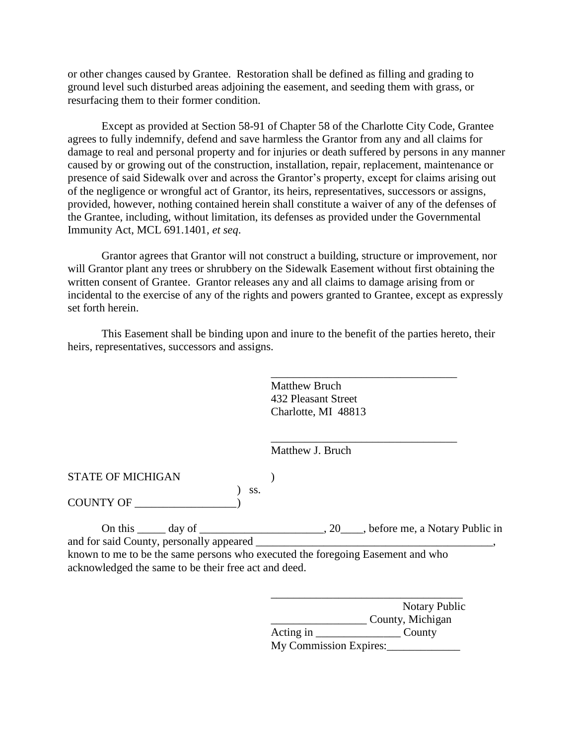or other changes caused by Grantee. Restoration shall be defined as filling and grading to ground level such disturbed areas adjoining the easement, and seeding them with grass, or resurfacing them to their former condition.

Except as provided at Section 58-91 of Chapter 58 of the Charlotte City Code, Grantee agrees to fully indemnify, defend and save harmless the Grantor from any and all claims for damage to real and personal property and for injuries or death suffered by persons in any manner caused by or growing out of the construction, installation, repair, replacement, maintenance or presence of said Sidewalk over and across the Grantor's property, except for claims arising out of the negligence or wrongful act of Grantor, its heirs, representatives, successors or assigns, provided, however, nothing contained herein shall constitute a waiver of any of the defenses of the Grantee, including, without limitation, its defenses as provided under the Governmental Immunity Act, MCL 691.1401, *et seq*.

Grantor agrees that Grantor will not construct a building, structure or improvement, nor will Grantor plant any trees or shrubbery on the Sidewalk Easement without first obtaining the written consent of Grantee. Grantor releases any and all claims to damage arising from or incidental to the exercise of any of the rights and powers granted to Grantee, except as expressly set forth herein.

This Easement shall be binding upon and inure to the benefit of the parties hereto, their heirs, representatives, successors and assigns.

> Matthew Bruch 432 Pleasant Street Charlotte, MI 48813

\_\_\_\_\_\_\_\_\_\_\_\_\_\_\_\_\_\_\_\_\_\_\_\_\_\_\_\_\_\_\_\_\_

\_\_\_\_\_\_\_\_\_\_\_\_\_\_\_\_\_\_\_\_\_\_\_\_\_\_\_\_\_\_\_\_\_

Matthew J. Bruch

STATE OF MICHIGAN (1)

COUNTY OF \_\_\_\_\_\_\_\_\_\_\_\_\_\_\_\_\_\_)

On this \_\_\_\_\_ day of \_\_\_\_\_\_\_\_\_\_\_\_\_\_\_\_\_\_, 20\_\_\_\_, before me, a Notary Public in and for said County, personally appeared \_\_\_\_\_\_\_\_\_\_\_\_\_\_\_\_\_\_\_\_\_\_\_\_\_\_\_\_\_\_\_\_\_\_\_\_\_\_\_\_\_\_, known to me to be the same persons who executed the foregoing Easement and who acknowledged the same to be their free act and deed.

) ss.

|                        | <b>Notary Public</b> |
|------------------------|----------------------|
|                        | County, Michigan     |
| Acting in              | County               |
| My Commission Expires: |                      |